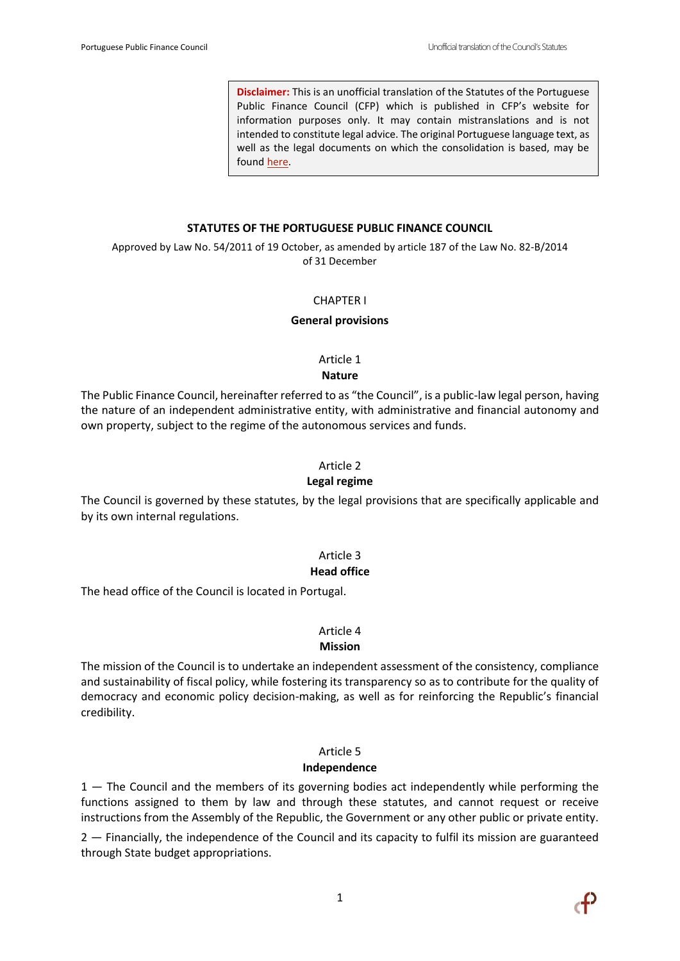**Disclaimer:** This is an unofficial translation of the Statutes of the Portuguese Public Finance Council (CFP) which is published in CFP's website for information purposes only. It may contain mistranslations and is not intended to constitute legal advice. The original Portuguese language text, as well as the legal documents on which the consolidation is based, may be found [here.](http://www.cfp.pt/about-us/governance/legislation/)

#### **STATUTES OF THE PORTUGUESE PUBLIC FINANCE COUNCIL**

Approved by Law No. 54/2011 of 19 October, as amended by article 187 of the Law No. 82-B/2014 of 31 December

#### CHAPTER I

#### **General provisions**

Article 1 **Nature**

The Public Finance Council, hereinafter referred to as "the Council", is a public-law legal person, having the nature of an independent administrative entity, with administrative and financial autonomy and own property, subject to the regime of the autonomous services and funds.

#### Article 2

#### **Legal regime**

The Council is governed by these statutes, by the legal provisions that are specifically applicable and by its own internal regulations.

## Article 3

#### **Head office**

The head office of the Council is located in Portugal.

#### Article 4

#### **Mission**

The mission of the Council is to undertake an independent assessment of the consistency, compliance and sustainability of fiscal policy, while fostering its transparency so as to contribute for the quality of democracy and economic policy decision-making, as well as for reinforcing the Republic's financial credibility.

# Article 5

## **Independence**

 $1 -$  The Council and the members of its governing bodies act independently while performing the functions assigned to them by law and through these statutes, and cannot request or receive instructions from the Assembly of the Republic, the Government or any other public or private entity.

2 — Financially, the independence of the Council and its capacity to fulfil its mission are guaranteed through State budget appropriations.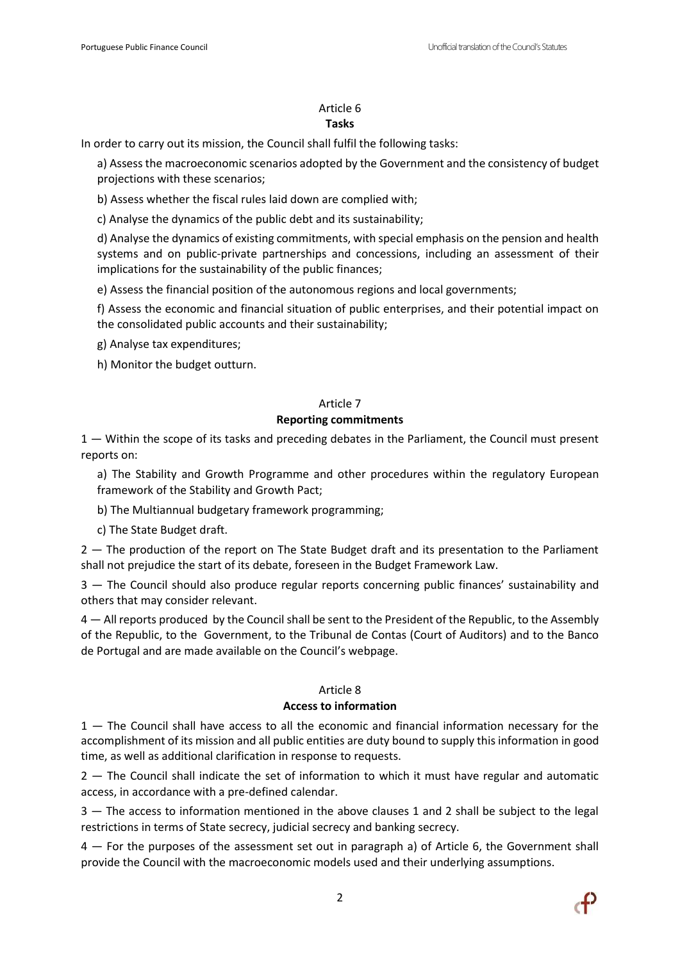#### Article 6 **Tasks**

In order to carry out its mission, the Council shall fulfil the following tasks:

a) Assess the macroeconomic scenarios adopted by the Government and the consistency of budget projections with these scenarios;

b) Assess whether the fiscal rules laid down are complied with;

c) Analyse the dynamics of the public debt and its sustainability;

d) Analyse the dynamics of existing commitments, with special emphasis on the pension and health systems and on public-private partnerships and concessions, including an assessment of their implications for the sustainability of the public finances;

e) Assess the financial position of the autonomous regions and local governments;

f) Assess the economic and financial situation of public enterprises, and their potential impact on the consolidated public accounts and their sustainability;

g) Analyse tax expenditures;

h) Monitor the budget outturn.

# Article 7

## **Reporting commitments**

1 — Within the scope of its tasks and preceding debates in the Parliament, the Council must present reports on:

a) The Stability and Growth Programme and other procedures within the regulatory European framework of the Stability and Growth Pact;

b) The Multiannual budgetary framework programming;

c) The State Budget draft.

2 — The production of the report on The State Budget draft and its presentation to the Parliament shall not prejudice the start of its debate, foreseen in the Budget Framework Law.

3 — The Council should also produce regular reports concerning public finances' sustainability and others that may consider relevant.

4 — All reports produced by the Council shall be sent to the President of the Republic, to the Assembly of the Republic, to the Government, to the Tribunal de Contas (Court of Auditors) and to the Banco de Portugal and are made available on the Council's webpage.

## Article 8

## **Access to information**

1 — The Council shall have access to all the economic and financial information necessary for the accomplishment of its mission and all public entities are duty bound to supply this information in good time, as well as additional clarification in response to requests.

2 — The Council shall indicate the set of information to which it must have regular and automatic access, in accordance with a pre-defined calendar.

3 — The access to information mentioned in the above clauses 1 and 2 shall be subject to the legal restrictions in terms of State secrecy, judicial secrecy and banking secrecy.

4 — For the purposes of the assessment set out in paragraph a) of Article 6, the Government shall provide the Council with the macroeconomic models used and their underlying assumptions.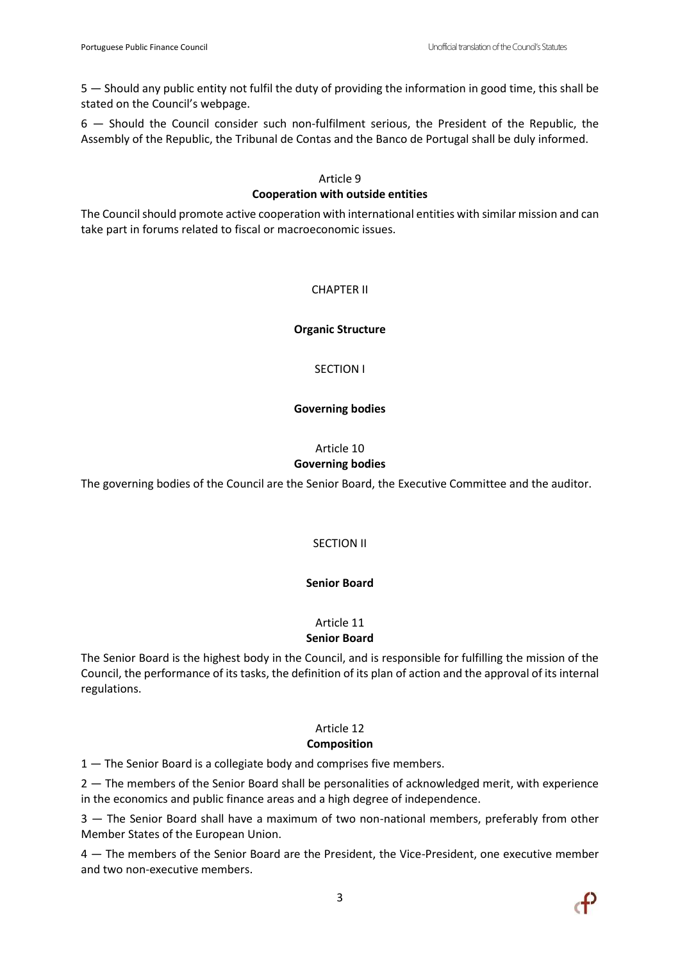5 — Should any public entity not fulfil the duty of providing the information in good time, this shall be stated on the Council's webpage.

6 — Should the Council consider such non-fulfilment serious, the President of the Republic, the Assembly of the Republic, the Tribunal de Contas and the Banco de Portugal shall be duly informed.

#### Article 9 **Cooperation with outside entities**

The Council should promote active cooperation with international entities with similar mission and can take part in forums related to fiscal or macroeconomic issues.

# CHAPTER II

## **Organic Structure**

SECTION I

## **Governing bodies**

## Article 10 **Governing bodies**

The governing bodies of the Council are the Senior Board, the Executive Committee and the auditor.

# SECTION II

# **Senior Board**

# Article 11

## **Senior Board**

The Senior Board is the highest body in the Council, and is responsible for fulfilling the mission of the Council, the performance of its tasks, the definition of its plan of action and the approval of its internal regulations.

## Article 12 **Composition**

1 — The Senior Board is a collegiate body and comprises five members.

2 – The members of the Senior Board shall be personalities of acknowledged merit, with experience in the economics and public finance areas and a high degree of independence.

3 — The Senior Board shall have a maximum of two non-national members, preferably from other Member States of the European Union.

4 — The members of the Senior Board are the President, the Vice-President, one executive member and two non-executive members.

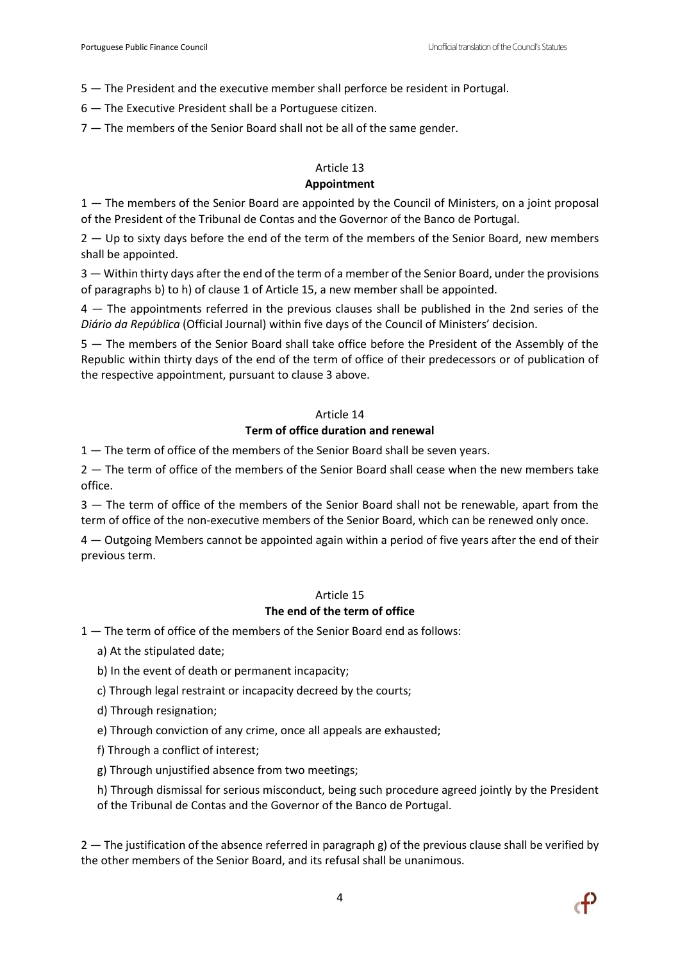5 — The President and the executive member shall perforce be resident in Portugal.

6 — The Executive President shall be a Portuguese citizen.

7 — The members of the Senior Board shall not be all of the same gender.

# Article 13

# **Appointment**

1 — The members of the Senior Board are appointed by the Council of Ministers, on a joint proposal of the President of the Tribunal de Contas and the Governor of the Banco de Portugal.

2 – Up to sixty days before the end of the term of the members of the Senior Board, new members shall be appointed.

3 — Within thirty days after the end of the term of a member of the Senior Board, under the provisions of paragraphs b) to h) of clause 1 of Article 15, a new member shall be appointed.

4 — The appointments referred in the previous clauses shall be published in the 2nd series of the *Diário da República* (Official Journal) within five days of the Council of Ministers' decision.

5 — The members of the Senior Board shall take office before the President of the Assembly of the Republic within thirty days of the end of the term of office of their predecessors or of publication of the respective appointment, pursuant to clause 3 above.

## Article 14

## **Term of office duration and renewal**

1 – The term of office of the members of the Senior Board shall be seven years.

2 – The term of office of the members of the Senior Board shall cease when the new members take office.

3 — The term of office of the members of the Senior Board shall not be renewable, apart from the term of office of the non-executive members of the Senior Board, which can be renewed only once.

4 — Outgoing Members cannot be appointed again within a period of five years after the end of their previous term.

#### Article 15

## **The end of the term of office**

1 — The term of office of the members of the Senior Board end as follows:

- a) At the stipulated date;
- b) In the event of death or permanent incapacity;
- c) Through legal restraint or incapacity decreed by the courts;
- d) Through resignation;
- e) Through conviction of any crime, once all appeals are exhausted;
- f) Through a conflict of interest;
- g) Through unjustified absence from two meetings;

h) Through dismissal for serious misconduct, being such procedure agreed jointly by the President of the Tribunal de Contas and the Governor of the Banco de Portugal.

 $2 -$  The justification of the absence referred in paragraph g) of the previous clause shall be verified by the other members of the Senior Board, and its refusal shall be unanimous.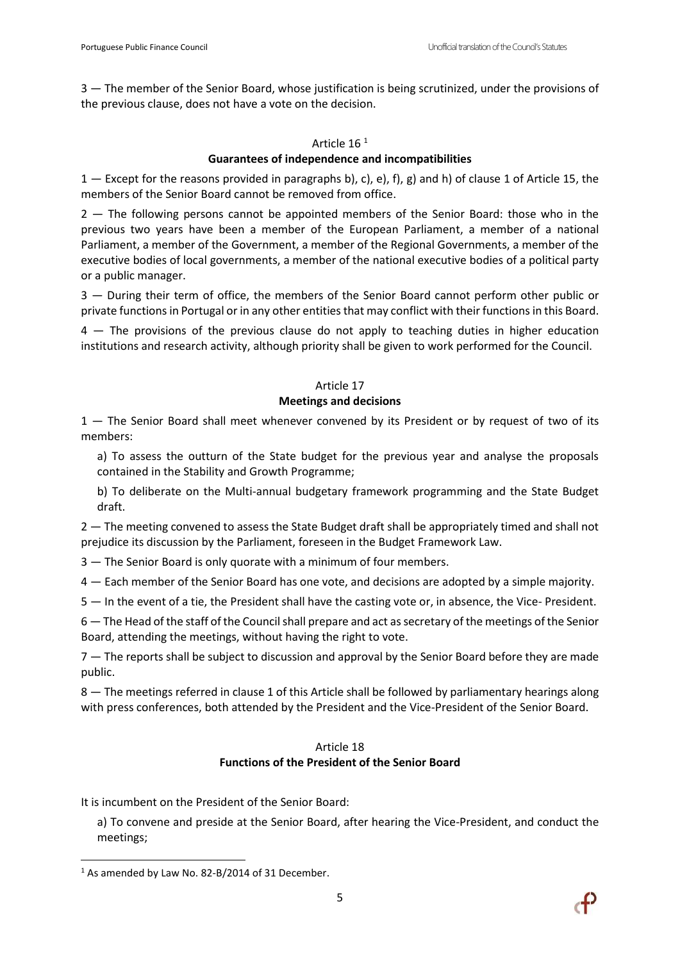3 — The member of the Senior Board, whose justification is being scrutinized, under the provisions of the previous clause, does not have a vote on the decision.

## Article 16 <sup>1</sup>

## **Guarantees of independence and incompatibilities**

1 — Except for the reasons provided in paragraphs b), c), e), f), g) and h) of clause 1 of Article 15, the members of the Senior Board cannot be removed from office.

2 — The following persons cannot be appointed members of the Senior Board: those who in the previous two years have been a member of the European Parliament, a member of a national Parliament, a member of the Government, a member of the Regional Governments, a member of the executive bodies of local governments, a member of the national executive bodies of a political party or a public manager.

3 — During their term of office, the members of the Senior Board cannot perform other public or private functions in Portugal or in any other entities that may conflict with their functions in this Board.

4 — The provisions of the previous clause do not apply to teaching duties in higher education institutions and research activity, although priority shall be given to work performed for the Council.

## Article 17

## **Meetings and decisions**

1 — The Senior Board shall meet whenever convened by its President or by request of two of its members:

a) To assess the outturn of the State budget for the previous year and analyse the proposals contained in the Stability and Growth Programme;

b) To deliberate on the Multi-annual budgetary framework programming and the State Budget draft.

2 — The meeting convened to assess the State Budget draft shall be appropriately timed and shall not prejudice its discussion by the Parliament, foreseen in the Budget Framework Law.

3 — The Senior Board is only quorate with a minimum of four members.

4 — Each member of the Senior Board has one vote, and decisions are adopted by a simple majority.

5 — In the event of a tie, the President shall have the casting vote or, in absence, the Vice- President.

6 — The Head of the staff of the Council shall prepare and act as secretary of the meetings of the Senior Board, attending the meetings, without having the right to vote.

7 — The reports shall be subject to discussion and approval by the Senior Board before they are made public.

8 — The meetings referred in clause 1 of this Article shall be followed by parliamentary hearings along with press conferences, both attended by the President and the Vice-President of the Senior Board.

## Article 18 **Functions of the President of the Senior Board**

It is incumbent on the President of the Senior Board:

a) To convene and preside at the Senior Board, after hearing the Vice-President, and conduct the meetings;

 $\overline{\phantom{a}}$ 



<sup>&</sup>lt;sup>1</sup> As amended by Law No. 82-B/2014 of 31 December.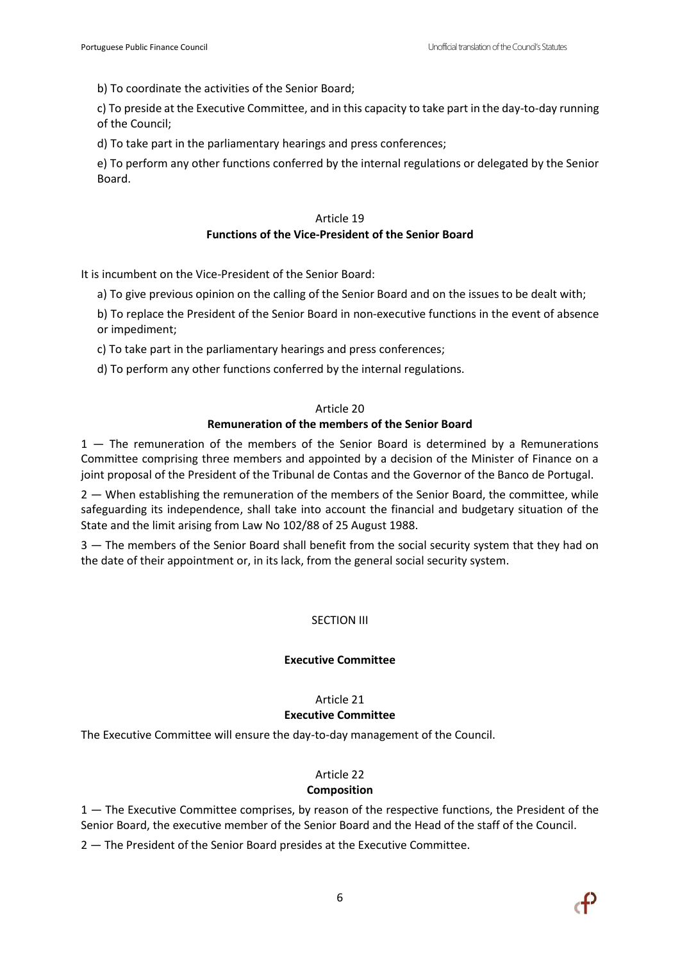b) To coordinate the activities of the Senior Board;

c) To preside at the Executive Committee, and in this capacity to take part in the day-to-day running of the Council;

d) To take part in the parliamentary hearings and press conferences;

e) To perform any other functions conferred by the internal regulations or delegated by the Senior Board.

## Article 19

## **Functions of the Vice-President of the Senior Board**

It is incumbent on the Vice-President of the Senior Board:

a) To give previous opinion on the calling of the Senior Board and on the issues to be dealt with;

- b) To replace the President of the Senior Board in non-executive functions in the event of absence or impediment;
- c) To take part in the parliamentary hearings and press conferences;
- d) To perform any other functions conferred by the internal regulations.

#### Article 20

## **Remuneration of the members of the Senior Board**

1 — The remuneration of the members of the Senior Board is determined by a Remunerations Committee comprising three members and appointed by a decision of the Minister of Finance on a joint proposal of the President of the Tribunal de Contas and the Governor of the Banco de Portugal.

2 — When establishing the remuneration of the members of the Senior Board, the committee, while safeguarding its independence, shall take into account the financial and budgetary situation of the State and the limit arising from Law No 102/88 of 25 August 1988.

3 – The members of the Senior Board shall benefit from the social security system that they had on the date of their appointment or, in its lack, from the general social security system.

# SECTION III

#### **Executive Committee**

# Article 21

## **Executive Committee**

The Executive Committee will ensure the day-to-day management of the Council.

# Article 22

## **Composition**

1 — The Executive Committee comprises, by reason of the respective functions, the President of the Senior Board, the executive member of the Senior Board and the Head of the staff of the Council.

2 — The President of the Senior Board presides at the Executive Committee.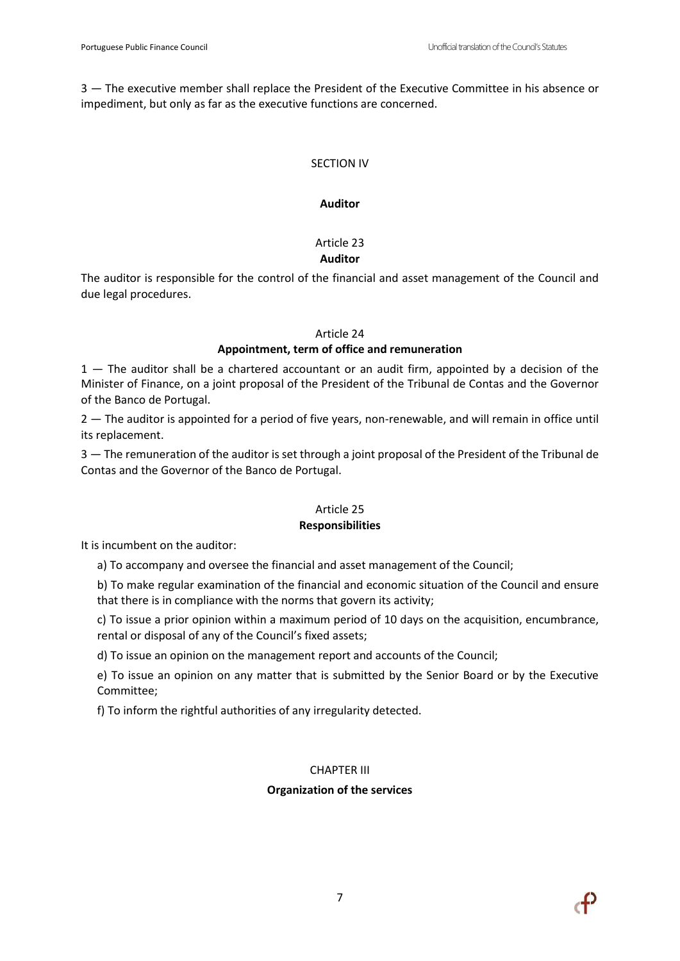3 — The executive member shall replace the President of the Executive Committee in his absence or impediment, but only as far as the executive functions are concerned.

## SECTION IV

## **Auditor**

# Article 23 **Auditor**

The auditor is responsible for the control of the financial and asset management of the Council and due legal procedures.

## Article 24

# **Appointment, term of office and remuneration**

1 — The auditor shall be a chartered accountant or an audit firm, appointed by a decision of the Minister of Finance, on a joint proposal of the President of the Tribunal de Contas and the Governor of the Banco de Portugal.

2 — The auditor is appointed for a period of five years, non-renewable, and will remain in office until its replacement.

3 — The remuneration of the auditor is set through a joint proposal of the President of the Tribunal de Contas and the Governor of the Banco de Portugal.

# Article 25

## **Responsibilities**

It is incumbent on the auditor:

a) To accompany and oversee the financial and asset management of the Council;

b) To make regular examination of the financial and economic situation of the Council and ensure that there is in compliance with the norms that govern its activity;

c) To issue a prior opinion within a maximum period of 10 days on the acquisition, encumbrance, rental or disposal of any of the Council's fixed assets;

d) To issue an opinion on the management report and accounts of the Council;

e) To issue an opinion on any matter that is submitted by the Senior Board or by the Executive Committee;

f) To inform the rightful authorities of any irregularity detected.

# CHAPTER III

# **Organization of the services**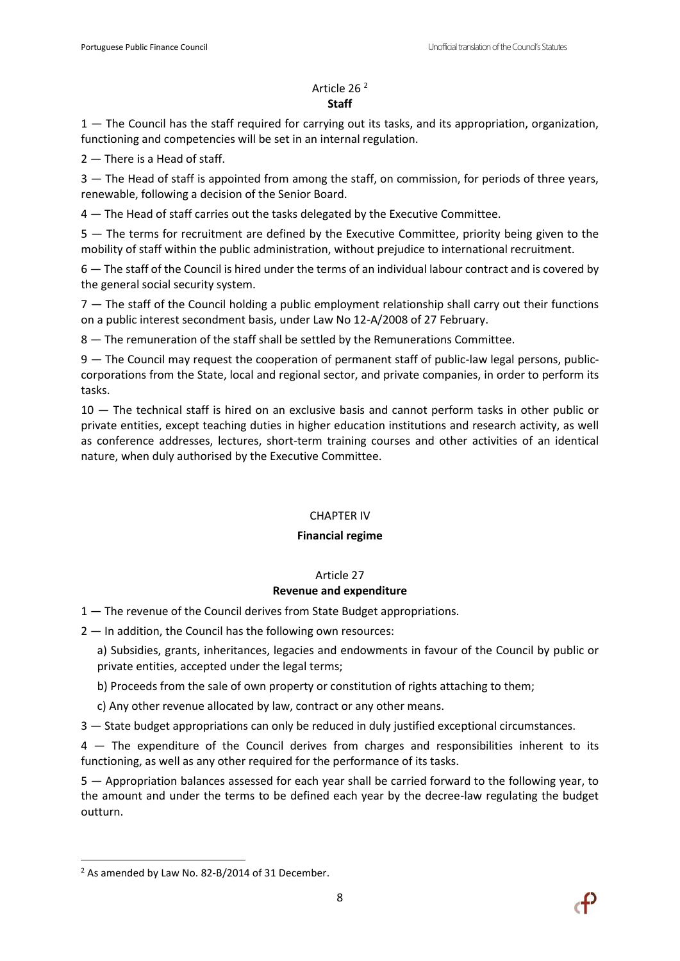## Article 26 <sup>2</sup> **Staff**

1 — The Council has the staff required for carrying out its tasks, and its appropriation, organization, functioning and competencies will be set in an internal regulation.

2 — There is a Head of staff.

3 — The Head of staff is appointed from among the staff, on commission, for periods of three years, renewable, following a decision of the Senior Board.

4 — The Head of staff carries out the tasks delegated by the Executive Committee.

5 — The terms for recruitment are defined by the Executive Committee, priority being given to the mobility of staff within the public administration, without prejudice to international recruitment.

6 — The staff of the Council is hired under the terms of an individual labour contract and is covered by the general social security system.

7 — The staff of the Council holding a public employment relationship shall carry out their functions on a public interest secondment basis, under Law No 12-A/2008 of 27 February.

8 — The remuneration of the staff shall be settled by the Remunerations Committee.

9 — The Council may request the cooperation of permanent staff of public-law legal persons, publiccorporations from the State, local and regional sector, and private companies, in order to perform its tasks.

10 — The technical staff is hired on an exclusive basis and cannot perform tasks in other public or private entities, except teaching duties in higher education institutions and research activity, as well as conference addresses, lectures, short-term training courses and other activities of an identical nature, when duly authorised by the Executive Committee.

# CHAPTER IV

## **Financial regime**

## Article 27

# **Revenue and expenditure**

- 1 The revenue of the Council derives from State Budget appropriations.
- 2 In addition, the Council has the following own resources:
	- a) Subsidies, grants, inheritances, legacies and endowments in favour of the Council by public or private entities, accepted under the legal terms;
	- b) Proceeds from the sale of own property or constitution of rights attaching to them;
	- c) Any other revenue allocated by law, contract or any other means.
- 3 State budget appropriations can only be reduced in duly justified exceptional circumstances.

4 — The expenditure of the Council derives from charges and responsibilities inherent to its functioning, as well as any other required for the performance of its tasks.

5 — Appropriation balances assessed for each year shall be carried forward to the following year, to the amount and under the terms to be defined each year by the decree-law regulating the budget outturn.

 $\overline{\phantom{a}}$ 



<sup>&</sup>lt;sup>2</sup> As amended by Law No. 82-B/2014 of 31 December.